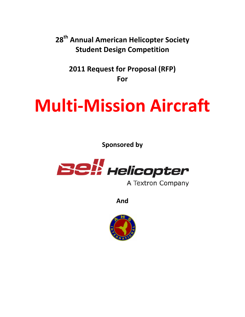**28th Annual American Helicopter Society Student Design Competition**

**2011 Request for Proposal (RFP) For**

# **Multi‐Mission Aircraft**

**Sponsored by**



A Textron Company

**And**

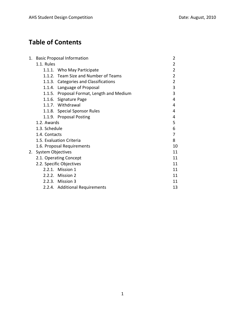# **Table of Contents**

|    | 1. Basic Proposal Information             | $\overline{2}$                            |                |  |
|----|-------------------------------------------|-------------------------------------------|----------------|--|
|    | 1.1. Rules                                |                                           |                |  |
|    |                                           | 1.1.1. Who May Participate                | $\overline{2}$ |  |
|    |                                           | 1.1.2. Team Size and Number of Teams      | 2              |  |
|    |                                           | 1.1.3. Categories and Classifications     | $\overline{2}$ |  |
|    |                                           | 1.1.4. Language of Proposal               | 3              |  |
|    |                                           | 1.1.5. Proposal Format, Length and Medium | 3              |  |
|    |                                           | 1.1.6. Signature Page                     | 4              |  |
|    |                                           | 1.1.7. Withdrawal                         | 4              |  |
|    |                                           | 1.1.8. Special Sponsor Rules              | 4              |  |
|    |                                           | 1.1.9. Proposal Posting                   | 4              |  |
|    | 1.2. Awards                               |                                           | 5              |  |
|    | 1.3. Schedule                             |                                           | 6              |  |
|    | 1.4. Contacts<br>1.5. Evaluation Criteria |                                           | 7              |  |
|    |                                           |                                           | 8              |  |
|    |                                           | 1.6. Proposal Requirements                | 10             |  |
| 2. | <b>System Objectives</b>                  |                                           | 11             |  |
|    |                                           | 2.1. Operating Concept                    | 11             |  |
|    | 2.2. Specific Objectives                  | 11                                        |                |  |
|    |                                           | 2.2.1. Mission 1                          | 11             |  |
|    |                                           | 2.2.2. Mission 2                          | 11             |  |
|    |                                           | 2.2.3. Mission 3                          | 11             |  |
|    |                                           | 2.2.4. Additional Requirements            | 13             |  |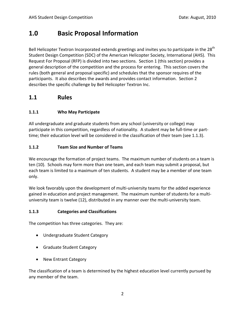# **1.0 Basic Proposal Information**

Bell Helicopter Textron Incorporated extends greetings and invites you to participate in the 28<sup>th</sup> Student Design Competition (SDC) of the American Helicopter Society, International (AHS). This Request For Proposal (RFP) is divided into two sections. Section 1 (this section) provides a general description of the competition and the process for entering. This section covers the rules (both general and proposal specific) and schedules that the sponsor requires of the participants. It also describes the awards and provides contact information. Section 2 describes the specific challenge by Bell Helicopter Textron Inc.

## **1.1 Rules**

#### **1.1.1 Who May Participate**

All undergraduate and graduate students from any school (university or college) may participate in this competition, regardless of nationality. A student may be full‐time or part‐ time; their education level will be considered in the classification of their team (see 1.1.3).

#### **1.1.2 Team Size and Number of Teams**

We encourage the formation of project teams. The maximum number of students on a team is ten (10). Schools may form more than one team, and each team may submit a proposal, but each team is limited to a maximum of ten students. A student may be a member of one team only.

We look favorably upon the development of multi-university teams for the added experience gained in education and project management. The maximum number of students for a multi‐ university team is twelve (12), distributed in any manner over the multi-university team.

#### **1.1.3 Categories and Classifications**

The competition has three categories. They are:

- Undergraduate Student Category
- Graduate Student Category
- New Entrant Category

The classification of a team is determined by the highest education level currently pursued by any member of the team.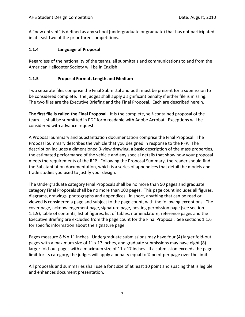A "new entrant" is defined as any school (undergraduate or graduate) that has not participated in at least two of the prior three competitions.

#### **1.1.4 Language of Proposal**

Regardless of the nationality of the teams, all submittals and communications to and from the American Helicopter Society will be in English.

#### **1.1.5 Proposal Format, Length and Medium**

Two separate files comprise the Final Submittal and both must be present for a submission to be considered complete. The judges shall apply a significant penalty if either file is missing. The two files are the Executive Briefing and the Final Proposal. Each are described herein.

**The first file is called the Final Proposal.** It is the complete, self‐contained proposal of the team. It shall be submitted in PDF form readable with Adobe Acrobat. Exceptions will be considered with advance request.

A Proposal Summary and Substantiation documentation comprise the Final Proposal. The Proposal Summary describes the vehicle that you designed in response to the RFP. The description includes a dimensioned 3‐view drawing, a basic description of the mass properties, the estimated performance of the vehicle and any special details that show how your proposal meets the requirements of the RFP. Following the Proposal Summary, the reader should find the Substantiation documentation, which is a series of appendices that detail the models and trade studies you used to justify your design.

The Undergraduate category Final Proposals shall be no more than 50 pages and graduate category Final Proposals shall be no more than 100 pages. This page count includes all figures, diagrams, drawings, photographs and appendices. In short, anything that can be read or viewed is considered a page and subject to the page count, with the following exceptions. The cover page, acknowledgement page, signature page, posting permission page (see section 1.1.9), table of contents, list of figures, list of tables, nomenclature, reference pages and the Executive Briefing are excluded from the page count for the Final Proposal. See sections 1.1.6 for specific information about the signature page.

Pages measure 8 ½ x 11 inches. Undergraduate submissions may have four (4) larger fold-out pages with a maximum size of 11 x 17 inches, and graduate submissions may have eight (8) larger fold-out pages with a maximum size of 11 x 17 inches. If a submission exceeds the page limit for its category, the judges will apply a penalty equal to % point per page over the limit.

All proposals and summaries shall use a font size of at least 10 point and spacing that is legible and enhances document presentation.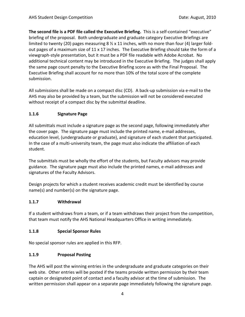**The second file is a PDF file called the Executive Briefing.** This is a self‐contained "executive" briefing of the proposal. Both undergraduate and graduate category Executive Briefings are limited to twenty (20) pages measuring 8  $\frac{1}{2}$  x 11 inches, with no more than four (4) larger foldout pages of a maximum size of 11 x 17 inches. The Executive Briefing should take the form of a viewgraph‐style presentation, but it must be a PDF file readable with Adobe Acrobat. No additional technical content may be introduced in the Executive Briefing. The judges shall apply the same page count penalty to the Executive Briefing score as with the Final Proposal. The Executive Briefing shall account for no more than 10% of the total score of the complete submission.

All submissions shall be made on a compact disc (CD). A back‐up submission via e‐mail to the AHS may also be provided by a team, but the submission will not be considered executed without receipt of a compact disc by the submittal deadline.

#### **1.1.6 Signature Page**

All submittals must include a signature page as the second page, following immediately after the cover page. The signature page must include the printed name, e‐mail addresses, education level, (undergraduate or graduate), and signature of each student that participated. In the case of a multi-university team, the page must also indicate the affiliation of each student.

The submittals must be wholly the effort of the students, but Faculty advisors may provide guidance. The signature page must also include the printed names, e‐mail addresses and signatures of the Faculty Advisors.

Design projects for which a student receives academic credit must be identified by course name(s) and number(s) on the signature page.

#### **1.1.7 Withdrawal**

If a student withdraws from a team, or if a team withdraws their project from the competition, that team must notify the AHS National Headquarters Office in writing immediately.

#### **1.1.8 Special Sponsor Rules**

No special sponsor rules are applied in this RFP.

#### **1.1.9 Proposal Posting**

The AHS will post the winning entries in the undergraduate and graduate categories on their web site. Other entries will be posted if the teams provide written permission by their team captain or designated point of contact and a faculty advisor at the time of submission. The written permission shall appear on a separate page immediately following the signature page.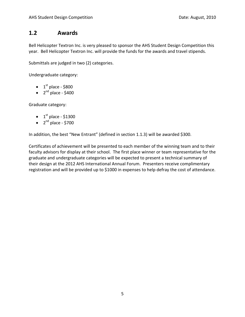### **1.2 Awards**

Bell Helicopter Textron Inc. is very pleased to sponsor the AHS Student Design Competition this year. Bell Helicopter Textron Inc. will provide the funds for the awards and travel stipends.

Submittals are judged in two (2) categories.

Undergraduate category:

- $1^{\text{st}}$  place \$800
- $2<sup>nd</sup>$  place \$400

Graduate category:

- $1^{\text{st}}$  place \$1300
- $2<sup>nd</sup>$  place \$700

In addition, the best "New Entrant" (defined in section 1.1.3) will be awarded \$300.

Certificates of achievement will be presented to each member of the winning team and to their faculty advisors for display at their school. The first place winner or team representative for the graduate and undergraduate categories will be expected to present a technical summary of their design at the 2012 AHS International Annual Forum. Presenters receive complimentary registration and will be provided up to \$1000 in expenses to help defray the cost of attendance.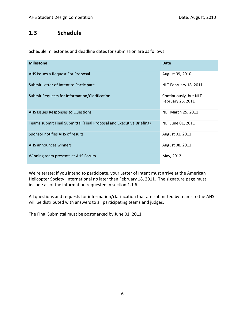# **1.3 Schedule**

Schedule milestones and deadline dates for submission are as follows:

| <b>Milestone</b>                                                     | <b>Date</b>                                |
|----------------------------------------------------------------------|--------------------------------------------|
| AHS Issues a Request For Proposal                                    | August 09, 2010                            |
| Submit Letter of Intent to Participate                               | NLT February 18, 2011                      |
| Submit Requests for Information/Clarification                        | Continuously, but NLT<br>February 25, 2011 |
| AHS Issues Responses to Questions                                    | NLT March 25, 2011                         |
| Teams submit Final Submittal (Final Proposal and Executive Briefing) | NLT June 01, 2011                          |
| Sponsor notifies AHS of results                                      | August 01, 2011                            |
| AHS announces winners                                                | August 08, 2011                            |
| Winning team presents at AHS Forum                                   | May, 2012                                  |

We reiterate; if you intend to participate, your Letter of Intent must arrive at the American Helicopter Society, International no later than February 18, 2011. The signature page must include all of the information requested in section 1.1.6.

All questions and requests for information/clarification that are submitted by teams to the AHS will be distributed with answers to all participating teams and judges.

The Final Submittal must be postmarked by June 01, 2011.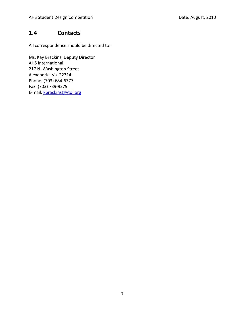## **1.4 Contacts**

All correspondence should be directed to:

Ms. Kay Brackins, Deputy Director AHS International 217 N. Washington Street Alexandria, Va. 22314 Phone: (703) 684‐6777 Fax: (703) 739‐9279 E-mail: kbrackins@vtol.org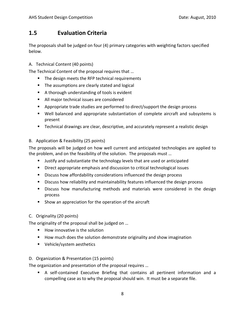# **1.5 Evaluation Criteria**

The proposals shall be judged on four (4) primary categories with weighting factors specified below.

#### A. Technical Content (40 points)

The Technical Content of the proposal requires that …

- The design meets the RFP technical requirements
- **The assumptions are clearly stated and logical**
- A thorough understanding of tools is evident
- All major technical issues are considered
- **•** Appropriate trade studies are performed to direct/support the design process
- Well balanced and appropriate substantiation of complete aircraft and subsystems is present
- Technical drawings are clear, descriptive, and accurately represent a realistic design

#### B. Application & Feasibility (25 points)

The proposals will be judged on how well current and anticipated technologies are applied to the problem, and on the feasibility of the solution. The proposals must …

- Justify and substantiate the technology levels that are used or anticipated
- Direct appropriate emphasis and discussion to critical technological issues
- **EXEDENCISE Discuss how affordability considerations influenced the design process**
- Discuss how reliability and maintainability features influenced the design process
- Discuss how manufacturing methods and materials were considered in the design process
- **Show an appreciation for the operation of the aircraft**

#### C. Originality (20 points)

The originality of the proposal shall be judged on …

- $\blacksquare$  How innovative is the solution
- **How much does the solution demonstrate originality and show imagination**
- **Vehicle/system aesthetics**

#### D. Organization & Presentation (15 points)

The organization and presentation of the proposal requires …

■ A self-contained Executive Briefing that contains all pertinent information and a compelling case as to why the proposal should win. It must be a separate file.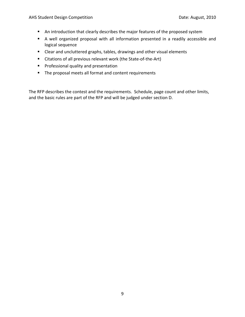- An introduction that clearly describes the major features of the proposed system
- A well organized proposal with all information presented in a readily accessible and logical sequence
- Clear and uncluttered graphs, tables, drawings and other visual elements
- Citations of all previous relevant work (the State-of-the-Art)
- **Professional quality and presentation**
- The proposal meets all format and content requirements

The RFP describes the contest and the requirements. Schedule, page count and other limits, and the basic rules are part of the RFP and will be judged under section D.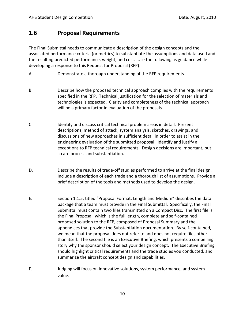## **1.6 Proposal Requirements**

The Final Submittal needs to communicate a description of the design concepts and the associated performance criteria (or metrics) to substantiate the assumptions and data used and the resulting predicted performance, weight, and cost. Use the following as guidance while developing a response to this Request for Proposal (RFP):

- A. Demonstrate a thorough understanding of the RFP requirements.
- B. Describe how the proposed technical approach complies with the requirements specified in the RFP. Technical justification for the selection of materials and technologies is expected. Clarity and completeness of the technical approach will be a primary factor in evaluation of the proposals.
- C. Identify and discuss critical technical problem areas in detail. Present descriptions, method of attack, system analysis, sketches, drawings, and discussions of new approaches in sufficient detail in order to assist in the engineering evaluation of the submitted proposal. Identify and justify all exceptions to RFP technical requirements. Design decisions are important, but so are process and substantiation.
- D. Describe the results of trade-off studies performed to arrive at the final design. Include a description of each trade and a thorough list of assumptions. Provide a brief description of the tools and methods used to develop the design.
- E. Section 1.1.5, titled "Proposal Format, Length and Medium" describes the data package that a team must provide in the Final Submittal. Specifically, the Final Submittal must contain two files transmitted on a Compact Disc. The first file is the Final Proposal, which is the full length, complete and self‐contained proposed solution to the RFP, composed of Proposal Summary and the appendices that provide the Substantiation documentation. By self‐contained, we mean that the proposal does not refer to and does not require files other than itself. The second file is an Executive Briefing, which presents a compelling story why the sponsor should select your design concept. The Executive Briefing should highlight critical requirements and the trade studies you conducted, and summarize the aircraft concept design and capabilities.
- F. Judging will focus on innovative solutions, system performance, and system value.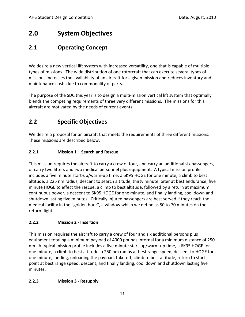# **2.0 System Objectives**

# **2.1 Operating Concept**

We desire a new vertical lift system with increased versatility, one that is capable of multiple types of missions. The wide distribution of one rotorcraft that can execute several types of missions increases the availability of an aircraft for a given mission and reduces inventory and maintenance costs due to commonality of parts.

The purpose of the SDC this year is to design a multi‐mission vertical lift system that optimally blends the competing requirements of three very different missions. The missions for this aircraft are motivated by the needs of current events.

# **2.2 Specific Objectives**

We desire a proposal for an aircraft that meets the requirements of three different missions. These missions are described below.

#### **2.2.1 Mission 1 – Search and Rescue**

This mission requires the aircraft to carry a crew of four, and carry an additional six passengers, or carry two litters and two medical personnel plus equipment. A typical mission profile includes a five minute start‐up/warm‐up time, a 6K95 HOGE for one minute, a climb to best altitude, a 225 nm radius, descent to search altitude, thirty minute loiter at best endurance, five minute HOGE to effect the rescue, a climb to best altitude, followed by a return at maximum continuous power, a descent to 6K95 HOGE for one minute, and finally landing, cool down and shutdown lasting five minutes. Critically injured passengers are best served if they reach the medical facility in the "golden hour", a window which we define as 50 to 70 minutes on the return flight.

#### **2.2.2 Mission 2 ‐ Insertion**

This mission requires the aircraft to carry a crew of four and six additional persons plus equipment totaling a minimum payload of 4000 pounds internal for a minimum distance of 250 nm. A typical mission profile includes a five minute start‐up/warm‐up time, a 6K95 HOGE for one minute, a climb to best altitude, a 250 nm radius at best range speed, descent to HOGE for one minute, landing, unloading the payload, take‐off, climb to best altitude, return to start point at best range speed, descent, and finally landing, cool down and shutdown lasting five minutes.

#### **2.2.3 Mission 3 ‐ Resupply**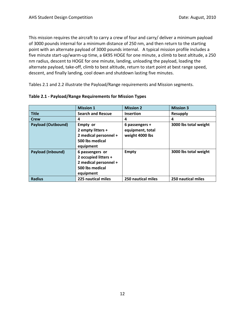This mission requires the aircraft to carry a crew of four and carry/ deliver a minimum payload of 3000 pounds internal for a minimum distance of 250 nm, and then return to the starting point with an alternate payload of 3000 pounds internal. A typical mission profile includes a five minute start‐up/warm‐up time, a 6K95 HOGE for one minute, a climb to best altitude, a 250 nm radius, descent to HOGE for one minute, landing, unloading the payload, loading the alternate payload, take‐off, climb to best altitude, return to start point at best range speed, descent, and finally landing, cool down and shutdown lasting five minutes.

Tables 2.1 and 2.2 illustrate the Payload/Range requirements and Mission segments.

|                           | <b>Mission 1</b>                                                                                 | <b>Mission 2</b>                                      | <b>Mission 3</b>      |
|---------------------------|--------------------------------------------------------------------------------------------------|-------------------------------------------------------|-----------------------|
| <b>Title</b>              | <b>Search and Rescue</b>                                                                         | <b>Insertion</b>                                      | <b>Resupply</b>       |
| <b>Crew</b>               | 4                                                                                                | 4                                                     | 4                     |
| <b>Payload (Outbound)</b> | Empty or<br>2 empty litters +<br>2 medical personnel +<br>500 lbs medical<br>equipment           | 6 passengers +<br>equipment, total<br>weight 4000 lbs | 3000 lbs total weight |
| <b>Payload (Inbound)</b>  | 6 passengers or<br>2 occupied litters +<br>2 medical personnel +<br>500 lbs medical<br>equipment | <b>Empty</b>                                          | 3000 lbs total weight |
| <b>Radius</b>             | 225 nautical miles                                                                               | 250 nautical miles                                    | 250 nautical miles    |

#### **Table 2.1 ‐ Payload/Range Requirements for Mission Types**